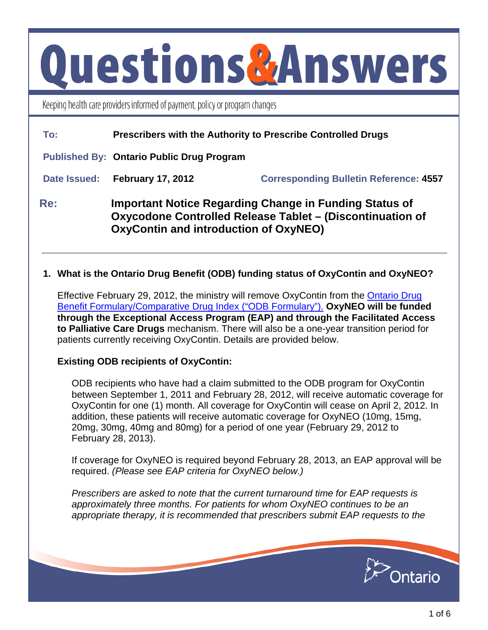# **Questions&Answers**

Keeping health care providers informed of payment, policy or program changes

| To:          | Prescribers with the Authority to Prescribe Controlled Drugs                                                                                                               |                                               |
|--------------|----------------------------------------------------------------------------------------------------------------------------------------------------------------------------|-----------------------------------------------|
|              | <b>Published By: Ontario Public Drug Program</b>                                                                                                                           |                                               |
| Date Issued: | <b>February 17, 2012</b>                                                                                                                                                   | <b>Corresponding Bulletin Reference: 4557</b> |
| Re:          | <b>Important Notice Regarding Change in Funding Status of</b><br>Oxycodone Controlled Release Tablet - (Discontinuation of<br><b>OxyContin and introduction of OxyNEO)</b> |                                               |

# **1. What is the Ontario Drug Benefit (ODB) funding status of OxyContin and OxyNEO?**

Effective February 29, 2012, the ministry will remove OxyContin from the [Ontario Drug](http://www.health.gov.on.ca/english/providers/program/drugs/drugs_program_mn.html)  [Benefit Formulary/Comparative Drug Index \("ODB Formulary"\).](http://www.health.gov.on.ca/english/providers/program/drugs/drugs_program_mn.html) **OxyNEO will be funded through the Exceptional Access Program (EAP) and through the Facilitated Access to Palliative Care Drugs** mechanism. There will also be a one-year transition period for patients currently receiving OxyContin. Details are provided below.

## **Existing ODB recipients of OxyContin:**

ODB recipients who have had a claim submitted to the ODB program for OxyContin between September 1, 2011 and February 28, 2012, will receive automatic coverage for OxyContin for one (1) month. All coverage for OxyContin will cease on April 2, 2012. In addition, these patients will receive automatic coverage for OxyNEO (10mg, 15mg, 20mg, 30mg, 40mg and 80mg) for a period of one year (February 29, 2012 to February 28, 2013).

If coverage for OxyNEO is required beyond February 28, 2013, an EAP approval will be required. *(Please see EAP criteria for OxyNEO below.)*

*Prescribers are asked to note that the current turnaround time for EAP requests is approximately three months. For patients for whom OxyNEO continues to be an appropriate therapy, it is recommended that prescribers submit EAP requests to the* 

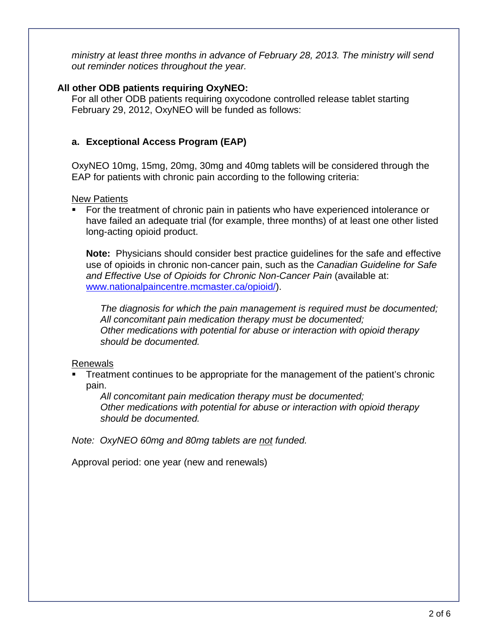*ministry at least three months in advance of February 28, 2013. The ministry will send out reminder notices throughout the year.*

## **All other ODB patients requiring OxyNEO:**

For all other ODB patients requiring oxycodone controlled release tablet starting February 29, 2012, OxyNEO will be funded as follows:

# **a. Exceptional Access Program (EAP)**

OxyNEO 10mg, 15mg, 20mg, 30mg and 40mg tablets will be considered through the EAP for patients with chronic pain according to the following criteria:

New Patients

 For the treatment of chronic pain in patients who have experienced intolerance or have failed an adequate trial (for example, three months) of at least one other listed long-acting opioid product.

**Note:** Physicians should consider best practice guidelines for the safe and effective use of opioids in chronic non-cancer pain, such as the *Canadian Guideline for Safe and Effective Use of Opioids for Chronic Non-Cancer Pain* (available at: [www.nationalpaincentre.mcmaster.ca/opioid/](http://nationalpaincentre.mcmaster.ca/opioid/)).

*The diagnosis for which the pain management is required must be documented; All concomitant pain medication therapy must be documented; Other medications with potential for abuse or interaction with opioid therapy should be documented.* 

#### Renewals

 Treatment continues to be appropriate for the management of the patient's chronic pain.

*All concomitant pain medication therapy must be documented; Other medications with potential for abuse or interaction with opioid therapy should be documented.* 

*Note: OxyNEO 60mg and 80mg tablets are not funded.* 

Approval period: one year (new and renewals)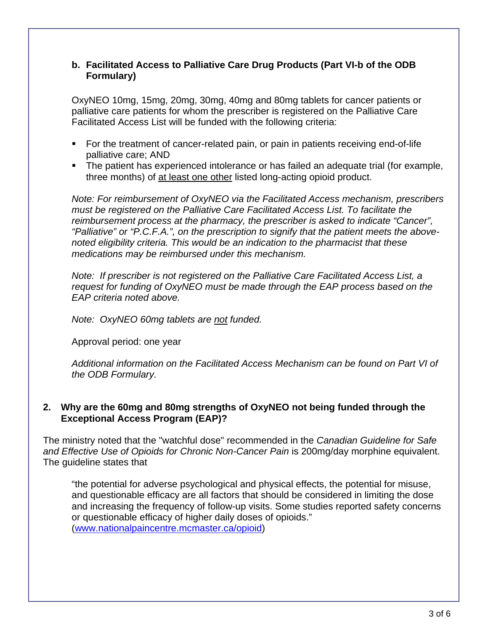## **b. Facilitated Access to Palliative Care Drug Products (Part VI-b of the ODB Formulary)**

OxyNEO 10mg, 15mg, 20mg, 30mg, 40mg and 80mg tablets for cancer patients or palliative care patients for whom the prescriber is registered on the Palliative Care Facilitated Access List will be funded with the following criteria:

- For the treatment of cancer-related pain, or pain in patients receiving end-of-life palliative care; AND
- The patient has experienced intolerance or has failed an adequate trial (for example, three months) of at least one other listed long-acting opioid product.

*Note: For reimbursement of OxyNEO via the Facilitated Access mechanism, prescribers must be registered on the Palliative Care Facilitated Access List. To facilitate the reimbursement process at the pharmacy, the prescriber is asked to indicate "Cancer", "Palliative" or "P.C.F.A.", on the prescription to signify that the patient meets the abovenoted eligibility criteria. This would be an indication to the pharmacist that these medications may be reimbursed under this mechanism.* 

*Note: If prescriber is not registered on the Palliative Care Facilitated Access List, a request for funding of OxyNEO must be made through the EAP process based on the EAP criteria noted above.* 

*Note: OxyNEO 60mg tablets are not funded.* 

Approval period: one year

*Additional information on the Facilitated Access Mechanism can be found on Part VI of the ODB Formulary.* 

## **2. Why are the 60mg and 80mg strengths of OxyNEO not being funded through the Exceptional Access Program (EAP)?**

The ministry noted that the "watchful dose" recommended in the *Canadian Guideline for Safe and Effective Use of Opioids for Chronic Non-Cancer Pain* is 200mg/day morphine equivalent. The guideline states that

"the potential for adverse psychological and physical effects, the potential for misuse, and questionable efficacy are all factors that should be considered in limiting the dose and increasing the frequency of follow-up visits. Some studies reported safety concerns or questionable efficacy of higher daily doses of opioids." ([www.nationalpaincentre.mcmaster.ca/opioid\)](http://nationalpaincentre.mcmaster.ca/opioid)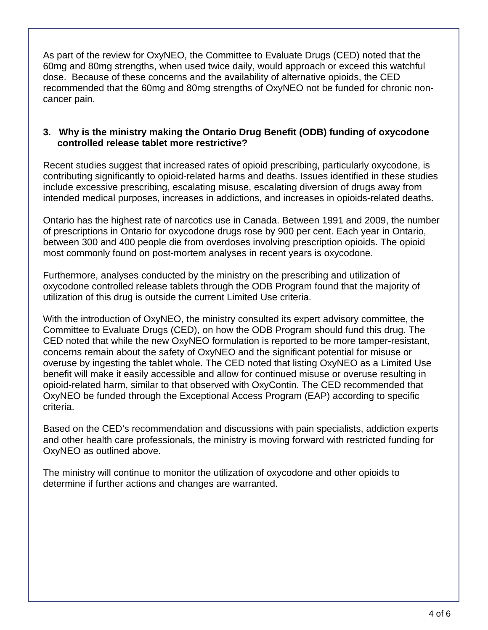As part of the review for OxyNEO, the Committee to Evaluate Drugs (CED) noted that the 60mg and 80mg strengths, when used twice daily, would approach or exceed this watchful dose. Because of these concerns and the availability of alternative opioids, the CED recommended that the 60mg and 80mg strengths of OxyNEO not be funded for chronic noncancer pain.

### **3. Why is the ministry making the Ontario Drug Benefit (ODB) funding of oxycodone controlled release tablet more restrictive?**

Recent studies suggest that increased rates of opioid prescribing, particularly oxycodone, is contributing significantly to opioid-related harms and deaths. Issues identified in these studies include excessive prescribing, escalating misuse, escalating diversion of drugs away from intended medical purposes, increases in addictions, and increases in opioids-related deaths.

Ontario has the highest rate of narcotics use in Canada. Between 1991 and 2009, the number of prescriptions in Ontario for oxycodone drugs rose by 900 per cent. Each year in Ontario, between 300 and 400 people die from overdoses involving prescription opioids. The opioid most commonly found on post-mortem analyses in recent years is oxycodone.

Furthermore, analyses conducted by the ministry on the prescribing and utilization of oxycodone controlled release tablets through the ODB Program found that the majority of utilization of this drug is outside the current Limited Use criteria.

With the introduction of OxyNEO, the ministry consulted its expert advisory committee, the Committee to Evaluate Drugs (CED), on how the ODB Program should fund this drug. The CED noted that while the new OxyNEO formulation is reported to be more tamper-resistant, concerns remain about the safety of OxyNEO and the significant potential for misuse or overuse by ingesting the tablet whole. The CED noted that listing OxyNEO as a Limited Use benefit will make it easily accessible and allow for continued misuse or overuse resulting in opioid-related harm, similar to that observed with OxyContin. The CED recommended that OxyNEO be funded through the Exceptional Access Program (EAP) according to specific criteria.

Based on the CED's recommendation and discussions with pain specialists, addiction experts and other health care professionals, the ministry is moving forward with restricted funding for OxyNEO as outlined above.

The ministry will continue to monitor the utilization of oxycodone and other opioids to determine if further actions and changes are warranted.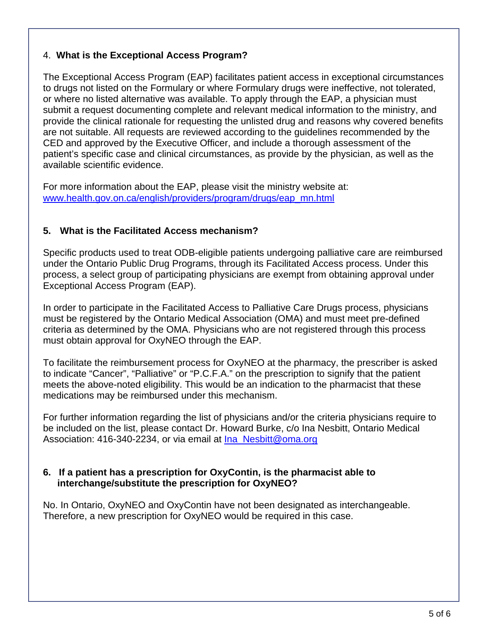## 4. **What is the Exceptional Access Program?**

The Exceptional Access Program (EAP) facilitates patient access in exceptional circumstances to drugs not listed on the Formulary or where Formulary drugs were ineffective, not tolerated, or where no listed alternative was available. To apply through the EAP, a physician must submit a request documenting complete and relevant medical information to the ministry, and provide the clinical rationale for requesting the unlisted drug and reasons why covered benefits are not suitable. All requests are reviewed according to the guidelines recommended by the CED and approved by the Executive Officer, and include a thorough assessment of the patient's specific case and clinical circumstances, as provide by the physician, as well as the available scientific evidence.

For more information about the EAP, please visit the ministry website at: [www.health.gov.on.ca/english/providers/program/drugs/eap\\_mn.html](http://www.health.gov.on.ca/english/providers/program/drugs/eap_mn.html)

# **5. What is the Facilitated Access mechanism?**

Specific products used to treat ODB-eligible patients undergoing palliative care are reimbursed under the Ontario Public Drug Programs, through its Facilitated Access process. Under this process, a select group of participating physicians are exempt from obtaining approval under Exceptional Access Program (EAP).

In order to participate in the Facilitated Access to Palliative Care Drugs process, physicians must be registered by the Ontario Medical Association (OMA) and must meet pre-defined criteria as determined by the OMA. Physicians who are not registered through this process must obtain approval for OxyNEO through the EAP.

To facilitate the reimbursement process for OxyNEO at the pharmacy, the prescriber is asked to indicate "Cancer", "Palliative" or "P.C.F.A." on the prescription to signify that the patient meets the above-noted eligibility. This would be an indication to the pharmacist that these medications may be reimbursed under this mechanism.

For further information regarding the list of physicians and/or the criteria physicians require to be included on the list, please contact Dr. Howard Burke, c/o Ina Nesbitt, Ontario Medical Association: 416-340-2234, or via email at [Ina\\_Nesbitt@oma.org](mailto:Ina_Nesbitt@oma.org)

## **6. If a patient has a prescription for OxyContin, is the pharmacist able to interchange/substitute the prescription for OxyNEO?**

No. In Ontario, OxyNEO and OxyContin have not been designated as interchangeable. Therefore, a new prescription for OxyNEO would be required in this case.